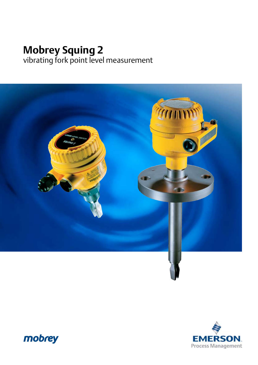# **Mobrey Squing 2** vibrating fork point level measurement





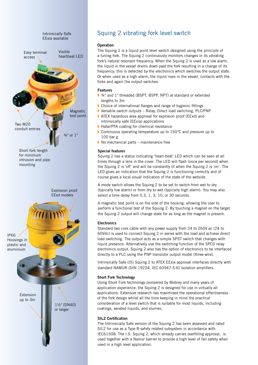

## Squing 2 vibrating fork level switch

#### **Operation**

The Squing 2 is a liquid point level switch designed using the principle of a tuning fork. The Squing 2 continuously monitors changes in its vibrating fork's natural resonant frequency. When the Squing 2 is used as a low alarm, the liquid in the vessel drains down past the fork resulting in a change of its frequency; this is detected by the electronics which switches the output state. Or when used as a high alarm, the liquid rises in the vessel, contacts with the forks and again the output switches.

#### **Features**

- ¾" and 1" threaded (BSPT, BSPP, NPT) at standard or extended lengths to 3m
- **Choice of international flanges and range of hygienic fittings**
- Versatile switch outputs Relay, Direct load switching, PLC/PNP
- ATEX hazardous area approval for explosion proof (EExd) and intrinsically safe (EExia) applications
- **Halar/PFA coating for chemical resistance**
- Continuous operating temperature up to 150°C and pressure up to 100 bar g
- $\triangleright$  No mechanical parts maintenance free

#### **Special features**

Squing 2 has a status indicating 'heart-beat' LED which can be seen at all times through a lens in the cover. The LED will flash (once per second) when the Squing 2 is 'off' and will be constantly lit when the Squing 2 is 'on'. The LED gives an indication that the Squing 2 is functioning correctly and of course gives a local visual indication of the state of the wetside.

A mode switch allows the Squing 2 to be set to switch from wet to dry (typically low alarm) or from dry to wet (typically high alarm). You may also select a time delay from 0.3, 1, 3, 10, or 30 seconds.

A magnetic test point is on the side of the housing, allowing the user to perform a functional test of the Squing 2. By touching a magnet on the target the Squing 2 output will change state for as long as the magnet is present.

#### **Electronics**

Standard two core cable with any power supply from 24 to 260V ac (24 to 60Vdc) is used to connect Squing 2 in series with the load and achieve direct load switching. The output acts as a simple SPST switch that changes with liquid presence. Alternatively use the switching function of the SPCO relay electronics output. Squing 2 also has the option of electronics to be interfaced directly to a PLC using the PNP transistor output model (three-wire).

Intrinsically Safe (IS) Squing 2 to ATEX EExia approval interfaces directly with standard NAMUR (DIN 19234, IEC 60947-5-6) isolation amplifiers.

#### **Short Fork Technology**

Using Short Fork technology pioneered by Mobrey and many years of application experience, the Squing 2 is designed for use in virtually all applications. Extensive research has maximised the operational effectiveness of the fork design whilst all the time keeping in mind the practical consideration of a level switch that is suitable for most liquids, including coatings, aerated liquids, and slurries.

#### **SIL2 Certification**

The Intrinsically Safe version of the Squing 2 has been assessed and rated SIL2 for use as a Type B safety related subsystem in accordance with IEC61508. The I.S. Squing 2, which already carries overfilling approval, is used together with a Namur barrier to provide a high level of fail safety when used in a high level application.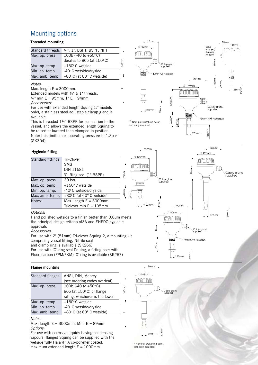# Mounting options

#### **Threaded mounting**

| Standard threads | 34", 1", BSPT, BSPP, NPT                    |          |
|------------------|---------------------------------------------|----------|
| Max. op. press.  | 100b (-40 to $+50^{\circ}$ C)               |          |
|                  | derates to 80b (at $150^{\circ}$ C)         | $ 42$ mm |
| Max. op. temp.   | +150°C wetside                              |          |
| Min. op. temp.   | -40°C wetside/dryside                       |          |
| Max. amb. temp.  | +80 $\degree$ C (at 60 $\degree$ C wetside) |          |
|                  |                                             |          |

#### *Notes:*

Max. length  $E = 3000$ mm.

Extended models with ¾" & 1" threads,  $\frac{3}{4}$ " min E = 95mm, 1" E = 94mm

#### *Accessories:*

For use with extended length Squing (1" models only), a stainless steel adjustable clamp gland is available.

This is threaded 1½" BSPP for connection to the vessel, and allows the extended length Squing to be raised or lowered then clamped in position. Note: this limits max. operating pressure to 1.3bar (SK304)



#### $\rightarrow$  90mm  $+$  90mm **Hygienic fitting**  $#102mm$  $\frac{\textcircled{102mm}}{102mm}$ Standard fittings Tri-Clover **ATTESTIN**  SMS **ATATUTUR** 126mm DIN 11581 Cable gland<br>supplied E 'O' Ring seal (1" BSPP)  $26n$ Max. op. press. 30 bar Cable gland<br>supplied Max. op. temp.  $+150^\circ$ C wetside  $\begin{array}{c} \end{array}$ Min. op. temp. -40°C wetside/dryside  $64mm$ Max. amb. temp.  $+80^{\circ}$  C (at 60° C wetside) 44F  $Notes:$  Max. length  $E = 3000$ mm 13mm Triclover min  $E = 105$ mm  $@23mm$ 90mm  $\emptyset$ 102mm *Options:* 3mm  $\triangle$  28mm Hand polished wetside to a finish better than 0.8µm meets mmm the principal design criteria of3A and EHEDG hygienic 126mm approvals Cable gland<br>supplied *Accessories:* For use with 2" (51mm) Tri-clover Squing 2, a mounting kit Ŧ 0mm A/F hexagon comprising vessel fitting, Nitrile seal

and clamp ring is available (SK266)

For use with 'O' ring seal Squing, a fitting boss with

Fluorocarbon (FPM/FKM) 'O' ring is available (SK267)

#### **Flange mounting**

| Standard flanges | ANSI, DIN, Mobrey                           |  |  |
|------------------|---------------------------------------------|--|--|
|                  | (see ordering codes overleaf)               |  |  |
| Max. op. press.  | 100b (-40 to $+50^{\circ}$ C)               |  |  |
|                  | 80b (at 150°C) or flange                    |  |  |
|                  | rating, whichever is the lower              |  |  |
| Max. op. temp.   | $+150^{\circ}$ C wetside                    |  |  |
| Min. op. temp.   | -40°C wetside/dryside                       |  |  |
| Max. amb. temp.  | +80 $\degree$ C (at 60 $\degree$ C wetside) |  |  |

#### *Notes:*

Max. length  $E = 3000$ mm. Min.  $E = 89$ mm *Options:* 

For use with corrosive liquids having condensing vapours, flanged Squing can be supplied with the wetside fully Halar/PFA co-polymer coated. maximum extended length  $E = 1000$ mm.



J

78mm

smm'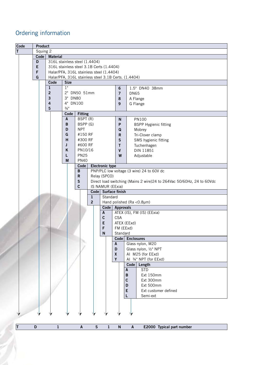# Ordering information

|   | Code | Product |                         |                                                      |                    |                        |             |                  |                    |                                                                        |
|---|------|---------|-------------------------|------------------------------------------------------|--------------------|------------------------|-------------|------------------|--------------------|------------------------------------------------------------------------|
| T |      |         | Squing 2                |                                                      |                    |                        |             |                  |                    |                                                                        |
|   |      | Code    | <b>Material</b>         |                                                      |                    |                        |             |                  |                    |                                                                        |
|   |      | D       |                         | 316L stainless steel (1.4404)                        |                    |                        |             |                  |                    |                                                                        |
|   |      | E       |                         | 316L stainless steel 3.1B Certs (1.4404)             |                    |                        |             |                  |                    |                                                                        |
|   |      | F       |                         | Halar/PFA, 316L stainless steel (1.4404)             |                    |                        |             |                  |                    |                                                                        |
|   |      | G       |                         | Halar/PFA, 316L stainless steel 3.1B Certs. (1.4404) |                    |                        |             |                  |                    |                                                                        |
|   |      |         | Code                    | <b>Size</b>                                          |                    |                        |             |                  |                    |                                                                        |
|   |      |         | $\mathbf{1}$            | 1"                                                   |                    |                        |             | $\bf 6$          |                    | 1.5" DN40 38mm                                                         |
|   |      |         | $\mathbf 2$             |                                                      | 2" DN50 51mm       |                        |             |                  |                    |                                                                        |
|   |      |         | $\overline{\mathbf{3}}$ | 3" DN80                                              |                    |                        |             | $\overline{7}$   |                    | <b>DN65</b>                                                            |
|   |      |         |                         |                                                      |                    |                        |             | 8                |                    | A Flange                                                               |
|   |      |         | $\overline{\mathbf{4}}$ | 4" DN100                                             |                    |                        |             | 9                |                    | G Flange                                                               |
|   |      |         | 5                       | $\frac{3}{4}$ "                                      |                    |                        |             |                  |                    |                                                                        |
|   |      |         |                         | Code                                                 | <b>Fitting</b>     |                        |             |                  |                    |                                                                        |
|   |      |         |                         | A                                                    | BSPT (R)           |                        |             | N                |                    | <b>PN100</b>                                                           |
|   |      |         |                         | В                                                    | BSPP (G)           |                        |             | P                |                    | <b>BSPP Hygienic fitting</b>                                           |
|   |      |         |                         | D                                                    | <b>NPT</b>         |                        |             | Q                |                    | Mobrey                                                                 |
|   |      |         |                         | G                                                    | #150 RF            |                        |             | R                |                    | Tri-Clover clamp                                                       |
|   |      |         |                         | H                                                    | #300 RF            |                        |             | S                |                    | SMS hygienic fitting                                                   |
|   |      |         |                         | J                                                    | #600 RF            |                        |             | т                |                    | Tuchenhagen                                                            |
|   |      |         |                         | Κ                                                    | PN10/16            |                        |             | V                |                    | DIN 11851                                                              |
|   |      |         |                         | L                                                    | <b>PN25</b>        |                        |             | W                |                    | Adjustable                                                             |
|   |      |         |                         | M                                                    | <b>PN40</b>        |                        |             |                  |                    |                                                                        |
|   |      |         |                         |                                                      | Code               | <b>Electronic type</b> |             |                  |                    |                                                                        |
|   |      |         |                         |                                                      | B                  |                        |             |                  |                    | PNP/PLC low voltage (3 wire) 24 to 60V dc                              |
|   |      |         |                         |                                                      | $\mathbf R$        | Relay (SPCO)           |             |                  |                    |                                                                        |
|   |      |         |                         |                                                      | ${\sf S}$          |                        |             |                  |                    | Direct load switching (Mains 2 wire) 24 to 264Vac 50/60Hz, 24 to 60Vdc |
|   |      |         |                         |                                                      | C                  |                        |             | IS NAMUR (EExia) |                    |                                                                        |
|   |      |         |                         |                                                      |                    | Code <sub>1</sub>      |             | Surface finish   |                    |                                                                        |
|   |      |         |                         |                                                      |                    | 1                      | Standard    |                  |                    |                                                                        |
|   |      |         |                         |                                                      |                    | $\overline{2}$         |             |                  |                    | Hand polished (Ra < 0.8µm)                                             |
|   |      |         |                         |                                                      |                    |                        | Code        | <b>Approvals</b> |                    |                                                                        |
|   |      |         |                         |                                                      |                    |                        | A           |                  |                    | ATEX (IS), FM (IS) (EExia)                                             |
|   |      |         |                         |                                                      |                    |                        | $\mathbf c$ | <b>CSA</b>       |                    |                                                                        |
|   |      |         |                         |                                                      |                    |                        | E           |                  | ATEX (EExd)        |                                                                        |
|   |      |         |                         |                                                      |                    | F<br>FM (EExd)         |             |                  |                    |                                                                        |
|   |      |         |                         |                                                      |                    |                        | N           | Standard         |                    |                                                                        |
|   |      |         |                         |                                                      |                    |                        |             | Code             |                    | <b>Enclosures</b>                                                      |
|   |      |         |                         |                                                      |                    |                        |             | A                |                    | Glass nylon, M20                                                       |
|   |      |         |                         |                                                      |                    |                        |             | D                |                    | Glass nylon, 1/2" NPT                                                  |
|   |      |         |                         |                                                      |                    |                        |             | $\boldsymbol{x}$ |                    | AI M25 (for EExd)                                                      |
|   |      |         |                         |                                                      |                    |                        |             | Y                |                    | AI 3/4" NPT (for EExd)                                                 |
|   |      |         |                         |                                                      |                    |                        |             |                  | Code               | Length                                                                 |
|   |      |         |                         |                                                      |                    |                        |             |                  | A                  | <b>STD</b>                                                             |
|   |      |         |                         |                                                      |                    |                        |             |                  | B                  | Ext 150mm                                                              |
|   |      |         |                         |                                                      |                    |                        |             |                  | $\mathbf c$        | Ext 300mm                                                              |
|   |      |         |                         |                                                      |                    |                        |             |                  | D                  | Ext 500mm                                                              |
|   |      |         |                         |                                                      |                    |                        |             |                  | E                  | Ext customer defined                                                   |
|   |      |         |                         |                                                      |                    |                        |             |                  | L                  | Semi-ext                                                               |
|   |      |         |                         |                                                      |                    |                        |             |                  |                    |                                                                        |
|   |      |         |                         |                                                      |                    |                        |             |                  |                    |                                                                        |
|   |      |         |                         |                                                      |                    |                        |             |                  |                    |                                                                        |
|   |      |         |                         |                                                      |                    |                        |             |                  |                    |                                                                        |
| T |      | D       | $\mathbf{1}$            |                                                      | $\pmb{\mathsf{A}}$ | ${\sf S}$              | $\mathbf 1$ | ${\sf N}$        | $\pmb{\mathsf{A}}$ | E2000 Typical part number                                              |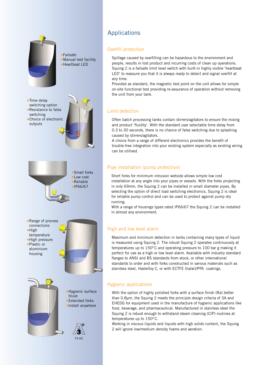

•Time delay switching option

•Failsafe •Manual test facility •Heartbeat LED



•Small forks •Low cost •Reliable •IP66/67

74-00



Applications

## Overfill protection

Spillage caused by overfilling can be hazardous to the environment and people, results in lost product and incurring costs of clean up operations. Squing 2 is a failsafe limit level switch with built-in highly visible 'heartbeat LED' to reassure you that it is always ready to detect and signal overfill at any time.

Provided as standard, the magnetic test point on the unit allows for simple on-site functional test providing re-assurance of operation without removing the unit from your tank.

## Limit detection

Often batch processing tanks contain stirrers/agitators to ensure the mixing and product 'fluidity'. With the standard user selectable time delay from 0.3 to 30 seconds, there is no chance of false switching due to splashing caused by stirrers/agitators.

A choice from a range of different electronics provides the benefit of trouble-free integration into your existing system especially as existing wiring can be utilised.

## Pipe installation (pump protection)

Short forks for minimum intrusion wetside allows simple low cost installation at any angle into your pipes or vessels. With the forks projecting in only 69mm, the Squing 2 can be installed in small diameter pipes. By selecting the option of direct load switching electronics, Squing 2 is ideal for reliable pump control and can be used to protect against pump dry running.

With a range of housings types rated IP66/67 the Squing 2 can be installed in almost any environment.

### High and low level alarm

Maximum and minimum detection in tanks containing many types of liquid is measured using Squing 2. The robust Squing 2 operates continuously at temperatures up to  $150^{\circ}$ C and operating pressure to 100 bar g making it perfect for use as a high or low level alarm. Available with industry standard flanges to ANSI and BS standards from stock, or other international standards to order and with forks constructed in various materials such as stainless steel, Hastelloy C, or with ECTFE (halar)/PFA coatings.

## Hygienic applications

With the option of highly polished forks with a surface finish (Ra) better than 0.8µm, the Squing 2 meets the principle design criteria of 3A and EHEDG for equipment used in the manufacture of hygienic applications like food, beverage, and pharmaceutical. Manufactured in stainless steel the Squing 2 is robust enough to withstand steam cleaning (CIP) routines at temperatures up to  $150^{\circ}$  C.

Working in viscous liquids and liquids with high solids content, the Squing 2 will ignore low/medium density foams and aeration.